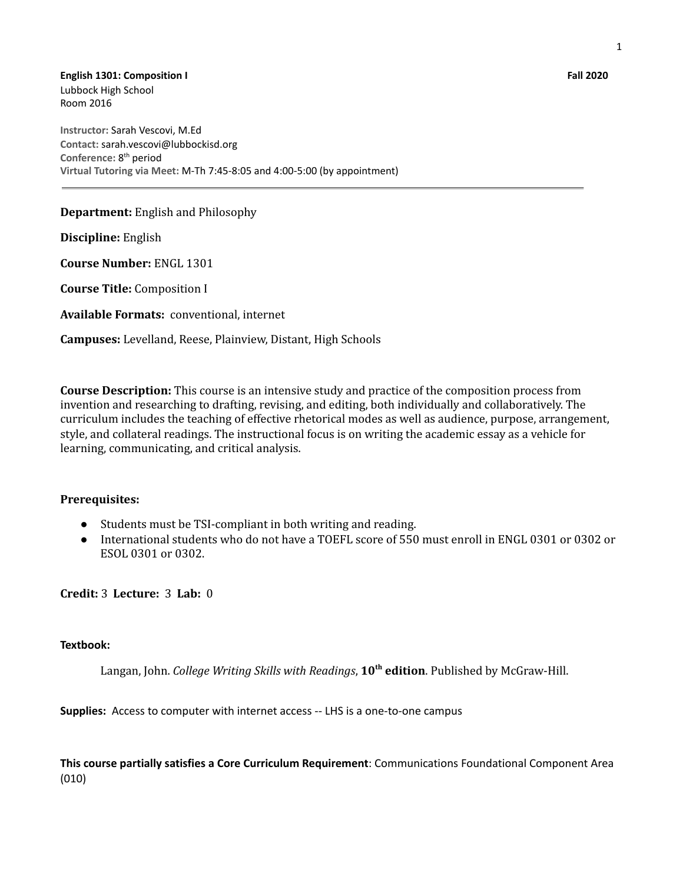**English 1301: Composition I Fall 2020** Lubbock High School Room 2016

**Instructor:** Sarah Vescovi, M.Ed **Contact:** sarah.vescovi@lubbockisd.org Conference: 8<sup>th</sup> period **Virtual Tutoring via Meet:** M-Th 7:45-8:05 and 4:00-5:00 (by appointment)

**Department:** English and Philosophy

**Discipline:** English

**Course Number:** ENGL 1301

**Course Title:** Composition I

**Available Formats:** conventional, internet

**Campuses:** Levelland, Reese, Plainview, Distant, High Schools

**Course Description:** This course is an intensive study and practice of the composition process from invention and researching to drafting, revising, and editing, both individually and collaboratively. The curriculum includes the teaching of effective rhetorical modes as well as audience, purpose, arrangement, style, and collateral readings. The instructional focus is on writing the academic essay as a vehicle for learning, communicating, and critical analysis.

#### **Prerequisites:**

- Students must be TSI-compliant in both writing and reading.
- International students who do not have a TOEFL score of 550 must enroll in ENGL 0301 or 0302 or ESOL 0301 or 0302.

**Credit:** 3 **Lecture:** 3 **Lab:** 0

#### **Textbook:**

Langan, John. *College Writing Skills with Readings*, **10 th edition**. Published by McGraw-Hill.

**Supplies:** Access to computer with internet access -- LHS is a one-to-one campus

**This course partially satisfies a Core Curriculum Requirement**: Communications Foundational Component Area (010)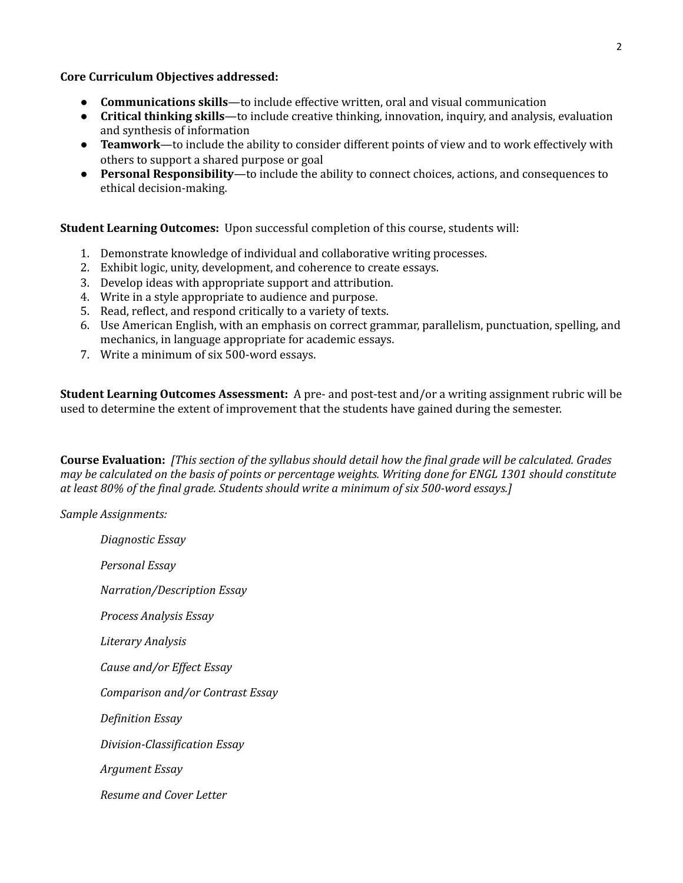**Core Curriculum Objectives addressed:**

- **● Communications skills**—to include effective written, oral and visual communication
- **● Critical thinking skills**—to include creative thinking, innovation, inquiry, and analysis, evaluation and synthesis of information
- **● Teamwork**—to include the ability to consider different points of view and to work effectively with others to support a shared purpose or goal
- **● Personal Responsibility**—to include the ability to connect choices, actions, and consequences to ethical decision-making.

**Student Learning Outcomes:** Upon successful completion of this course, students will:

- 1. Demonstrate knowledge of individual and collaborative writing processes.
- 2. Exhibit logic, unity, development, and coherence to create essays.
- 3. Develop ideas with appropriate support and attribution.
- 4. Write in a style appropriate to audience and purpose.
- 5. Read, reflect, and respond critically to a variety of texts.
- 6. Use American English, with an emphasis on correct grammar, parallelism, punctuation, spelling, and mechanics, in language appropriate for academic essays.
- 7. Write a minimum of six 500-word essays.

**Student Learning Outcomes Assessment:** A pre- and post-test and/or a writing assignment rubric will be used to determine the extent of improvement that the students have gained during the semester.

Course Evaluation: [This section of the syllabus should detail how the final grade will be calculated. Grades may be calculated on the basis of points or percentage weights. Writing done for ENGL 1301 should constitute *at least 80% of the final grade. Students should write a minimum of six 500-word essays.]*

*Sample Assignments:*

*Diagnostic Essay Personal Essay Narration/Description Essay Process Analysis Essay Literary Analysis Cause and/or Ef ect Essay Comparison and/or Contrast Essay Definition Essay Division-Classification Essay Argument Essay Resume and Cover Letter*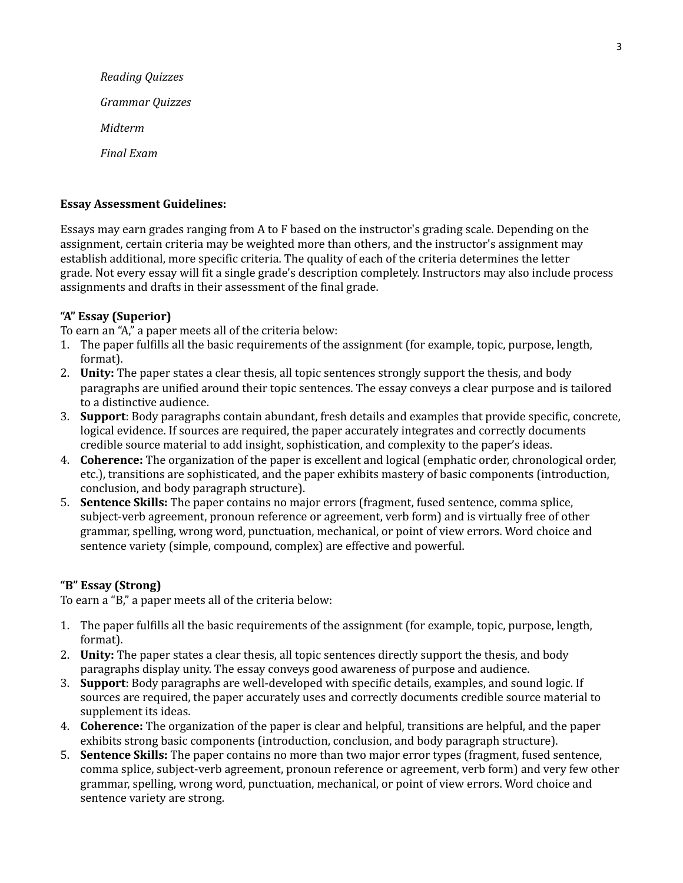*Reading Quizzes Grammar Quizzes Midterm Final Exam*

#### **Essay Assessment Guidelines:**

Essays may earn grades ranging from A to F based on the instructor's grading scale. Depending on the assignment, certain criteria may be weighted more than others, and the instructor's assignment may establish additional, more specific criteria. The quality of each of the criteria determines the letter grade. Not every essay will fit a single grade's description completely. Instructors may also include process assignments and drafts in their assessment of the final grade.

## **"A" Essay (Superior)**

To earn an "A," a paper meets all of the criteria below:

- 1. The paper fulfills all the basic requirements of the assignment (for example, topic, purpose, length, format).
- 2. **Unity:** The paper states a clear thesis, all topic sentences strongly support the thesis, and body paragraphs are unified around their topic sentences. The essay conveys a clear purpose and is tailored to a distinctive audience.
- 3. **Support**: Body paragraphs contain abundant, fresh details and examples that provide specific, concrete, logical evidence. If sources are required, the paper accurately integrates and correctly documents credible source material to add insight, sophistication, and complexity to the paper's ideas.
- 4. **Coherence:** The organization of the paper is excellent and logical (emphatic order, chronological order, etc.), transitions are sophisticated, and the paper exhibits mastery of basic components (introduction, conclusion, and body paragraph structure).
- 5. **Sentence Skills:** The paper contains no major errors (fragment, fused sentence, comma splice, subject-verb agreement, pronoun reference or agreement, verb form) and is virtually free of other grammar, spelling, wrong word, punctuation, mechanical, or point of view errors. Word choice and sentence variety (simple, compound, complex) are effective and powerful.

## **"B" Essay (Strong)**

To earn a "B," a paper meets all of the criteria below:

- 1. The paper fulfills all the basic requirements of the assignment (for example, topic, purpose, length, format).
- 2. **Unity:** The paper states a clear thesis, all topic sentences directly support the thesis, and body paragraphs display unity. The essay conveys good awareness of purpose and audience.
- 3. **Support**: Body paragraphs are well-developed with specific details, examples, and sound logic. If sources are required, the paper accurately uses and correctly documents credible source material to supplement its ideas.
- 4. **Coherence:** The organization of the paper is clear and helpful, transitions are helpful, and the paper exhibits strong basic components (introduction, conclusion, and body paragraph structure).
- 5. **Sentence Skills:** The paper contains no more than two major error types (fragment, fused sentence, comma splice, subject-verb agreement, pronoun reference or agreement, verb form) and very few other grammar, spelling, wrong word, punctuation, mechanical, or point of view errors. Word choice and sentence variety are strong.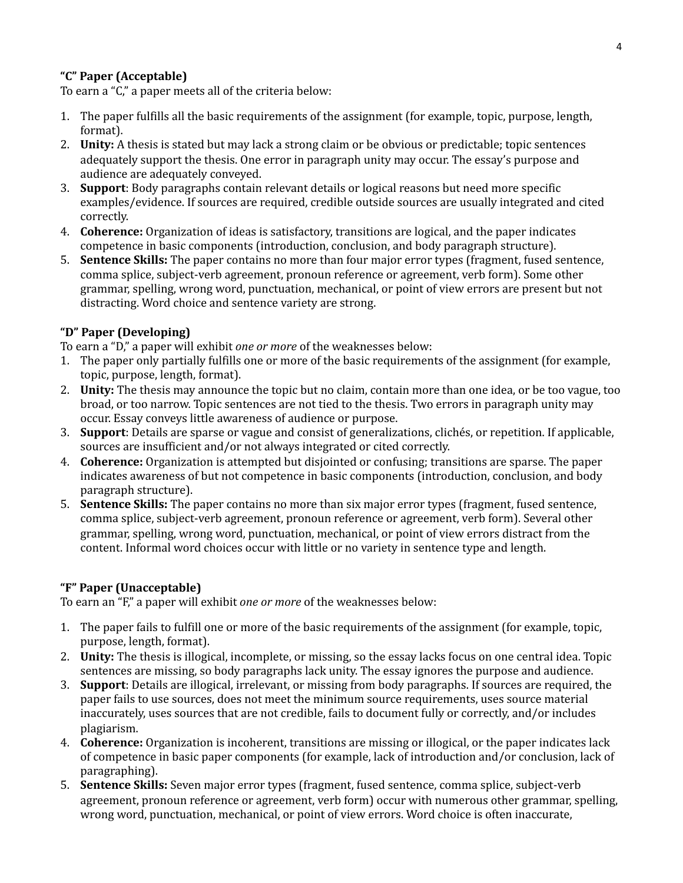# **"C" Paper (Acceptable)**

To earn a "C," a paper meets all of the criteria below:

- 1. The paper fulfills all the basic requirements of the assignment (for example, topic, purpose, length, format).
- 2. **Unity:** A thesis is stated but may lack a strong claim or be obvious or predictable; topic sentences adequately support the thesis. One error in paragraph unity may occur. The essay's purpose and audience are adequately conveyed.
- 3. **Support**: Body paragraphs contain relevant details or logical reasons but need more specific examples/evidence. If sources are required, credible outside sources are usually integrated and cited correctly.
- 4. **Coherence:** Organization of ideas is satisfactory, transitions are logical, and the paper indicates competence in basic components (introduction, conclusion, and body paragraph structure).
- 5. **Sentence Skills:** The paper contains no more than four major error types (fragment, fused sentence, comma splice, subject-verb agreement, pronoun reference or agreement, verb form). Some other grammar, spelling, wrong word, punctuation, mechanical, or point of view errors are present but not distracting. Word choice and sentence variety are strong.

## **"D" Paper (Developing)**

To earn a "D," a paper will exhibit *one or more* of the weaknesses below:

- 1. The paper only partially fulfills one or more of the basic requirements of the assignment (for example, topic, purpose, length, format).
- 2. **Unity:** The thesis may announce the topic but no claim, contain more than one idea, or be too vague, too broad, or too narrow. Topic sentences are not tied to the thesis. Two errors in paragraph unity may occur. Essay conveys little awareness of audience or purpose.
- 3. **Support**: Details are sparse or vague and consist of generalizations, clichés, or repetition. If applicable, sources are insufficient and/or not always integrated or cited correctly.
- 4. **Coherence:** Organization is attempted but disjointed or confusing; transitions are sparse. The paper indicates awareness of but not competence in basic components (introduction, conclusion, and body paragraph structure).
- 5. **Sentence Skills:** The paper contains no more than six major error types (fragment, fused sentence, comma splice, subject-verb agreement, pronoun reference or agreement, verb form). Several other grammar, spelling, wrong word, punctuation, mechanical, or point of view errors distract from the content. Informal word choices occur with little or no variety in sentence type and length.

## **"F" Paper (Unacceptable)**

To earn an "F," a paper will exhibit *one or more* of the weaknesses below:

- 1. The paper fails to fulfill one or more of the basic requirements of the assignment (for example, topic, purpose, length, format).
- 2. **Unity:** The thesis is illogical, incomplete, or missing, so the essay lacks focus on one central idea. Topic sentences are missing, so body paragraphs lack unity. The essay ignores the purpose and audience.
- 3. **Support**: Details are illogical, irrelevant, or missing from body paragraphs. If sources are required, the paper fails to use sources, does not meet the minimum source requirements, uses source material inaccurately, uses sources that are not credible, fails to document fully or correctly, and/or includes plagiarism.
- 4. **Coherence:** Organization is incoherent, transitions are missing or illogical, or the paper indicates lack of competence in basic paper components (for example, lack of introduction and/or conclusion, lack of paragraphing).
- 5. **Sentence Skills:** Seven major error types (fragment, fused sentence, comma splice, subject-verb agreement, pronoun reference or agreement, verb form) occur with numerous other grammar, spelling, wrong word, punctuation, mechanical, or point of view errors. Word choice is often inaccurate,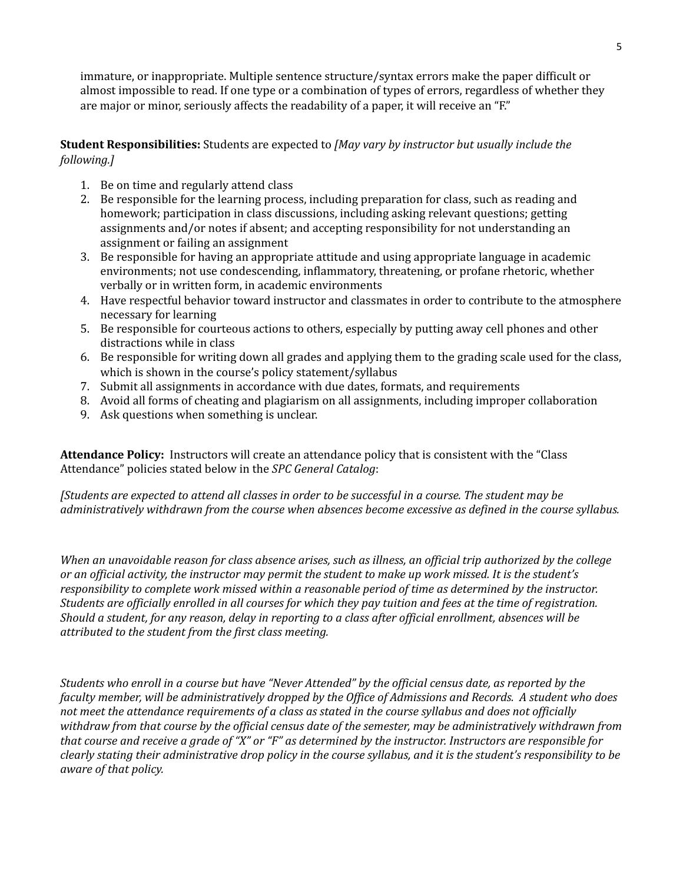immature, or inappropriate. Multiple sentence structure/syntax errors make the paper difficult or almost impossible to read. If one type or a combination of types of errors, regardless of whether they are major or minor, seriously affects the readability of a paper, it will receive an "F."

**Student Responsibilities:** Students are expected to *[May vary by instructor but usually include the following.]*

- 1. Be on time and regularly attend class
- 2. Be responsible for the learning process, including preparation for class, such as reading and homework; participation in class discussions, including asking relevant questions; getting assignments and/or notes if absent; and accepting responsibility for not understanding an assignment or failing an assignment
- 3. Be responsible for having an appropriate attitude and using appropriate language in academic environments; not use condescending, inflammatory, threatening, or profane rhetoric, whether verbally or in written form, in academic environments
- 4. Have respectful behavior toward instructor and classmates in order to contribute to the atmosphere necessary for learning
- 5. Be responsible for courteous actions to others, especially by putting away cell phones and other distractions while in class
- 6. Be responsible for writing down all grades and applying them to the grading scale used for the class, which is shown in the course's policy statement/syllabus
- 7. Submit all assignments in accordance with due dates, formats, and requirements
- 8. Avoid all forms of cheating and plagiarism on all assignments, including improper collaboration
- 9. Ask questions when something is unclear.

**Attendance Policy:** Instructors will create an attendance policy that is consistent with the "Class Attendance" policies stated below in the *SPC General Catalog*:

[Students are expected to attend all classes in order to be successful in a course. The student may be *administratively withdrawn from the course when absences become excessive as defined in the course syllabus.*

When an unavoidable reason for class absence arises, such as illness, an official trip authorized by the college or an official activity, the instructor may permit the student to make up work missed. It is the student's *responsibility to complete work missed within a reasonable period of time as determined by the instructor.* Students are officially enrolled in all courses for which they pay tuition and fees at the time of registration. Should a student, for any reason, delay in reporting to a class after official enrollment, absences will be *attributed to the student from the first class meeting.*

Students who enroll in a course but have "Never Attended" by the official census date, as reported by the faculty member, will be administratively dropped by the Office of Admissions and Records. A student who does not meet the attendance requirements of a class as stated in the course syllabus and does not officially withdraw from that course by the official census date of the semester, may be administratively withdrawn from that course and receive a grade of "X" or "F" as determined by the instructor. Instructors are responsible for clearly stating their administrative drop policy in the course syllabus, and it is the student's responsibility to be *aware of that policy.*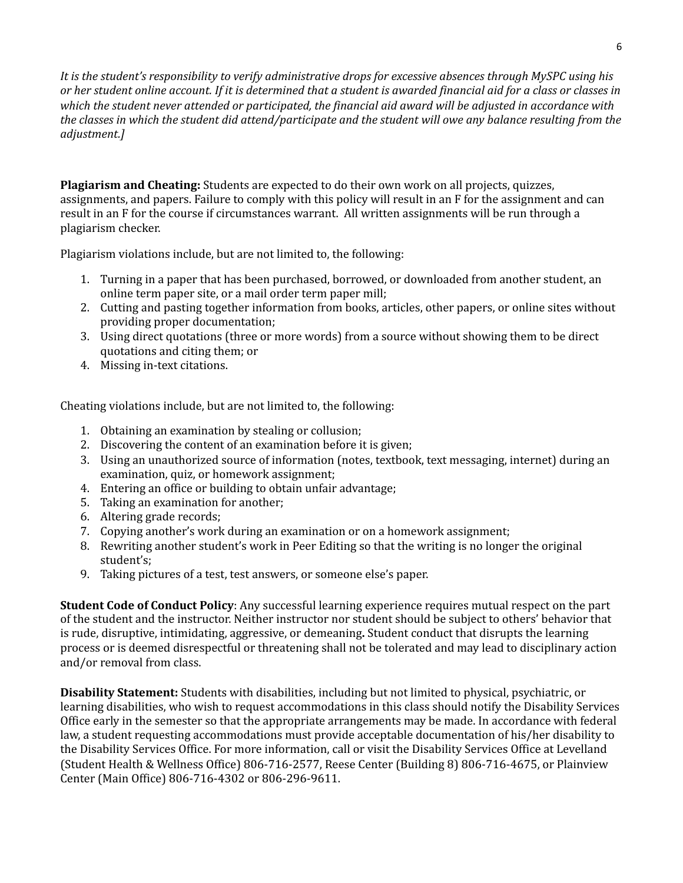*It is the student's responsibility to verify administrative drops for excessive absences through MySPC using his* or her student online account. If it is determined that a student is awarded financial aid for a class or classes in which the student never attended or participated, the financial aid award will be adjusted in accordance with the classes in which the student did attend/participate and the student will owe any balance resulting from the *adjustment.]*

**Plagiarism and Cheating:** Students are expected to do their own work on all projects, quizzes, assignments, and papers. Failure to comply with this policy will result in an F for the assignment and can result in an F for the course if circumstances warrant. All written assignments will be run through a plagiarism checker.

Plagiarism violations include, but are not limited to, the following:

- 1. Turning in a paper that has been purchased, borrowed, or downloaded from another student, an online term paper site, or a mail order term paper mill;
- 2. Cutting and pasting together information from books, articles, other papers, or online sites without providing proper documentation;
- 3. Using direct quotations (three or more words) from a source without showing them to be direct quotations and citing them; or
- 4. Missing in-text citations.

Cheating violations include, but are not limited to, the following:

- 1. Obtaining an examination by stealing or collusion;
- 2. Discovering the content of an examination before it is given;
- 3. Using an unauthorized source of information (notes, textbook, text messaging, internet) during an examination, quiz, or homework assignment;
- 4. Entering an office or building to obtain unfair advantage;
- 5. Taking an examination for another;
- 6. Altering grade records;
- 7. Copying another's work during an examination or on a homework assignment;
- 8. Rewriting another student's work in Peer Editing so that the writing is no longer the original student's;
- 9. Taking pictures of a test, test answers, or someone else's paper.

**Student Code of Conduct Policy**: Any successful learning experience requires mutual respect on the part of the student and the instructor. Neither instructor nor student should be subject to others' behavior that is rude, disruptive, intimidating, aggressive, or demeaning**.** Student conduct that disrupts the learning process or is deemed disrespectful or threatening shall not be tolerated and may lead to disciplinary action and/or removal from class.

**Disability Statement:** Students with disabilities, including but not limited to physical, psychiatric, or learning disabilities, who wish to request accommodations in this class should notify the Disability Services Office early in the semester so that the appropriate arrangements may be made. In accordance with federal law, a student requesting accommodations must provide acceptable documentation of his/her disability to the Disability Services Office. For more information, call or visit the Disability Services Office at Levelland (Student Health & Wellness Office) 806-716-2577, Reese Center (Building 8) 806-716-4675, or Plainview Center (Main Office) 806-716-4302 or 806-296-9611.